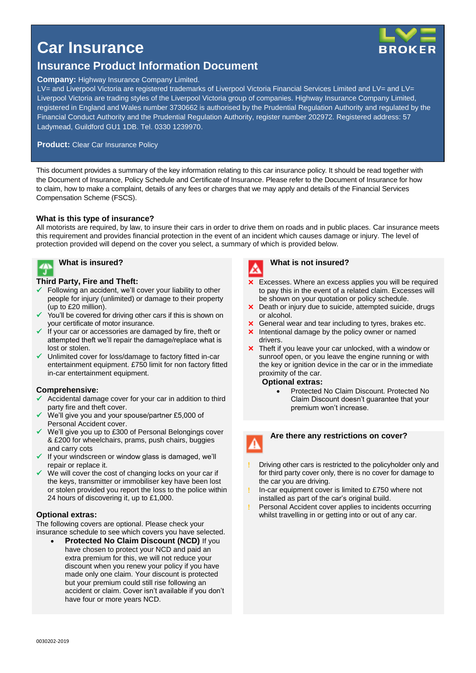## **Car Insurance**



### **Insurance Product Information Document**

#### **Company:** Highway Insurance Company Limited.

LV= and Liverpool Victoria are registered trademarks of Liverpool Victoria Financial Services Limited and LV= and LV= Liverpool Victoria are trading styles of the Liverpool Victoria group of companies. Highway Insurance Company Limited, registered in England and Wales number 3730662 is authorised by the Prudential Regulation Authority and regulated by the Financial Conduct Authority and the Prudential Regulation Authority, register number 202972. Registered address: 57 Ladymead, Guildford GU1 1DB. Tel. 0330 1239970.

#### **Product: Clear Car Insurance Policy**

This document provides a summary of the key information relating to this car insurance policy. It should be read together with the Document of Insurance, Policy Schedule and Certificate of Insurance. Please refer to the Document of Insurance for how to claim, how to make a complaint, details of any fees or charges that we may apply and details of the Financial Services Compensation Scheme (FSCS).

#### **What is this type of insurance?**

All motorists are required, by law, to insure their cars in order to drive them on roads and in public places. Car insurance meets this requirement and provides financial protection in the event of an incident which causes damage or injury. The level of protection provided will depend on the cover you select, a summary of which is provided below.



#### **What is insured?**

#### **Third Party, Fire and Theft:**

- $\checkmark$  Following an accident, we'll cover your liability to other people for injury (unlimited) or damage to their property (up to £20 million).
- You'll be covered for driving other cars if this is shown on your certificate of motor insurance.
- If your car or accessories are damaged by fire, theft or attempted theft we'll repair the damage/replace what is lost or stolen.
- Unlimited cover for loss/damage to factory fitted in-car entertainment equipment. £750 limit for non factory fitted in-car entertainment equipment.

#### **Comprehensive:**

- $\checkmark$  Accidental damage cover for your car in addition to third party fire and theft cover.
- We'll give you and your spouse/partner £5,000 of Personal Accident cover.
- $\checkmark$  We'll give you up to £300 of Personal Belongings cover & £200 for wheelchairs, prams, push chairs, buggies and carry cots
- $\checkmark$  If your windscreen or window glass is damaged, we'll repair or replace it.
- We will cover the cost of changing locks on your car if the keys, transmitter or immobiliser key have been lost or stolen provided you report the loss to the police within 24 hours of discovering it, up to £1,000.

#### **Optional extras:**

The following covers are optional. Please check your insurance schedule to see which covers you have selected.

 **Protected No Claim Discount (NCD)** If you have chosen to protect your NCD and paid an extra premium for this, we will not reduce your discount when you renew your policy if you have made only one claim. Your discount is protected but your premium could still rise following an accident or claim. Cover isn't available if you don't have four or more years NCD.



#### **What is not insured?**

- **x** Excesses. Where an excess applies you will be required to pay this in the event of a related claim. Excesses will be shown on your quotation or policy schedule.
- X Death or injury due to suicide, attempted suicide, drugs or alcohol.
- **X** General wear and tear including to tyres, brakes etc.
- Intentional damage by the policy owner or named drivers.
- **x** Theft if you leave your car unlocked, with a window or sunroof open, or you leave the engine running or with the key or ignition device in the car or in the immediate proximity of the car.

#### **Optional extras:**

 Protected No Claim Discount. Protected No Claim Discount doesn't guarantee that your premium won't increase.

# **Are there any restrictions on cover?**

- Driving other cars is restricted to the policyholder only and for third party cover only, there is no cover for damage to the car you are driving.
- In-car equipment cover is limited to £750 where not installed as part of the car's original build.
- Personal Accident cover applies to incidents occurring whilst travelling in or getting into or out of any car.